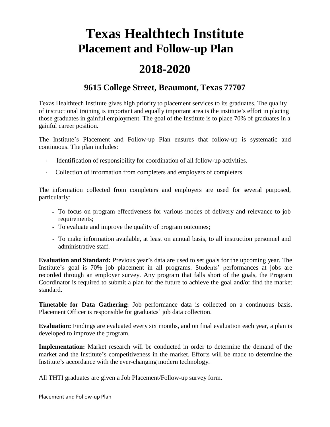## **Texas Healthtech Institute Placement and Follow-up Plan**

## **2018-2020**

## **9615 College Street, Beaumont, Texas 77707**

Texas Healthtech Institute gives high priority to placement services to its graduates. The quality of instructional training is important and equally important area is the institute's effort in placing those graduates in gainful employment. The goal of the Institute is to place 70% of graduates in a gainful career position.

The Institute's Placement and Follow-up Plan ensures that follow-up is systematic and continuous. The plan includes:

- Identification of responsibility for coordination of all follow-up activities.
- Collection of information from completers and employers of completers.

The information collected from completers and employers are used for several purposed, particularly:

- To focus on program effectiveness for various modes of delivery and relevance to job requirements;
- To evaluate and improve the quality of program outcomes;
- To make information available, at least on annual basis, to all instruction personnel and administrative staff.

**Evaluation and Standard:** Previous year's data are used to set goals for the upcoming year. The Institute's goal is 70% job placement in all programs. Students' performances at jobs are recorded through an employer survey. Any program that falls short of the goals, the Program Coordinator is required to submit a plan for the future to achieve the goal and/or find the market standard.

**Timetable for Data Gathering:** Job performance data is collected on a continuous basis. Placement Officer is responsible for graduates' job data collection.

**Evaluation:** Findings are evaluated every six months, and on final evaluation each year, a plan is developed to improve the program.

**Implementation:** Market research will be conducted in order to determine the demand of the market and the Institute's competitiveness in the market. Efforts will be made to determine the Institute's accordance with the ever-changing modern technology.

All THTI graduates are given a Job Placement/Follow-up survey form.